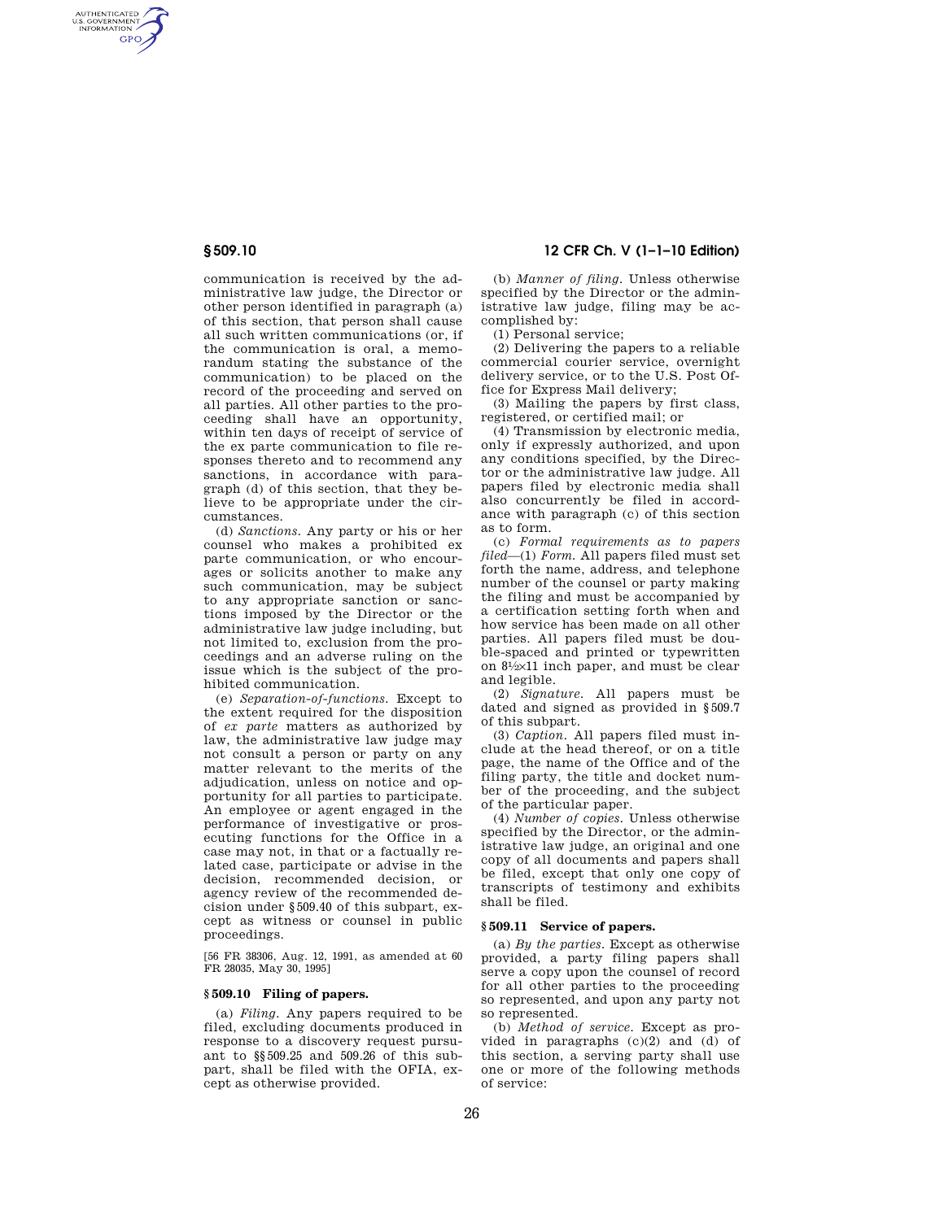AUTHENTICATED<br>U.S. GOVERNMENT<br>INFORMATION GPO

> communication is received by the administrative law judge, the Director or other person identified in paragraph (a) of this section, that person shall cause all such written communications (or, if the communication is oral, a memorandum stating the substance of the communication) to be placed on the record of the proceeding and served on all parties. All other parties to the proceeding shall have an opportunity, within ten days of receipt of service of the ex parte communication to file responses thereto and to recommend any sanctions, in accordance with paragraph (d) of this section, that they believe to be appropriate under the circumstances.

> (d) *Sanctions.* Any party or his or her counsel who makes a prohibited ex parte communication, or who encourages or solicits another to make any such communication, may be subject to any appropriate sanction or sanctions imposed by the Director or the administrative law judge including, but not limited to, exclusion from the proceedings and an adverse ruling on the issue which is the subject of the prohibited communication.

> (e) *Separation-of-functions.* Except to the extent required for the disposition of *ex parte* matters as authorized by law, the administrative law judge may not consult a person or party on any matter relevant to the merits of the adjudication, unless on notice and opportunity for all parties to participate. An employee or agent engaged in the performance of investigative or prosecuting functions for the Office in a case may not, in that or a factually related case, participate or advise in the decision, recommended decision, or agency review of the recommended decision under §509.40 of this subpart, except as witness or counsel in public proceedings.

[56 FR 38306, Aug. 12, 1991, as amended at 60 FR 28035, May 30, 1995]

#### **§ 509.10 Filing of papers.**

(a) *Filing.* Any papers required to be filed, excluding documents produced in response to a discovery request pursuant to §§509.25 and 509.26 of this subpart, shall be filed with the OFIA, except as otherwise provided.

# **§ 509.10 12 CFR Ch. V (1–1–10 Edition)**

(b) *Manner of filing.* Unless otherwise specified by the Director or the administrative law judge, filing may be accomplished by:

(1) Personal service;

(2) Delivering the papers to a reliable commercial courier service, overnight delivery service, or to the U.S. Post Office for Express Mail delivery;

(3) Mailing the papers by first class, registered, or certified mail; or

(4) Transmission by electronic media, only if expressly authorized, and upon any conditions specified, by the Director or the administrative law judge. All papers filed by electronic media shall also concurrently be filed in accordance with paragraph (c) of this section as to form.

(c) *Formal requirements as to papers filed—*(1) *Form.* All papers filed must set forth the name, address, and telephone number of the counsel or party making the filing and must be accompanied by a certification setting forth when and how service has been made on all other parties. All papers filed must be double-spaced and printed or typewritten on 81⁄2×11 inch paper, and must be clear and legible.

(2) *Signature.* All papers must be dated and signed as provided in §509.7 of this subpart.

(3) *Caption.* All papers filed must include at the head thereof, or on a title page, the name of the Office and of the filing party, the title and docket number of the proceeding, and the subject of the particular paper.

(4) *Number of copies.* Unless otherwise specified by the Director, or the administrative law judge, an original and one copy of all documents and papers shall be filed, except that only one copy of transcripts of testimony and exhibits shall be filed.

### **§ 509.11 Service of papers.**

(a) *By the parties.* Except as otherwise provided, a party filing papers shall serve a copy upon the counsel of record for all other parties to the proceeding so represented, and upon any party not so represented.

(b) *Method of service.* Except as provided in paragraphs  $(c)(2)$  and  $(d)$  of this section, a serving party shall use one or more of the following methods of service: